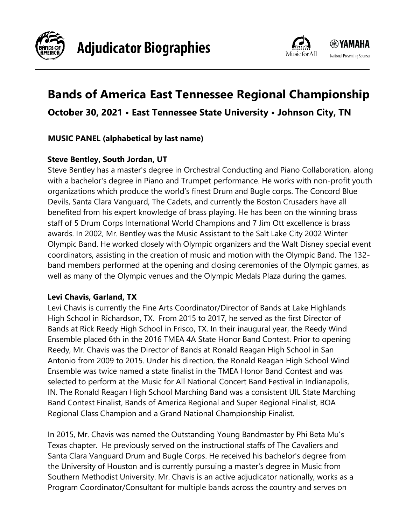



# **Bands of America East Tennessee Regional Championship**

# **October 30, 2021 • East Tennessee State University • Johnson City, TN**

#### **MUSIC PANEL (alphabetical by last name)**

#### **Steve Bentley, South Jordan, UT**

Steve Bentley has a master's degree in Orchestral Conducting and Piano Collaboration, along with a bachelor's degree in Piano and Trumpet performance. He works with non-profit youth organizations which produce the world's finest Drum and Bugle corps. The Concord Blue Devils, Santa Clara Vanguard, The Cadets, and currently the Boston Crusaders have all benefited from his expert knowledge of brass playing. He has been on the winning brass staff of 5 Drum Corps International World Champions and 7 Jim Ott excellence is brass awards. In 2002, Mr. Bentley was the Music Assistant to the Salt Lake City 2002 Winter Olympic Band. He worked closely with Olympic organizers and the Walt Disney special event coordinators, assisting in the creation of music and motion with the Olympic Band. The 132 band members performed at the opening and closing ceremonies of the Olympic games, as well as many of the Olympic venues and the Olympic Medals Plaza during the games.

#### **Levi Chavis, Garland, TX**

Levi Chavis is currently the Fine Arts Coordinator/Director of Bands at Lake Highlands High School in Richardson, TX. From 2015 to 2017, he served as the first Director of Bands at Rick Reedy High School in Frisco, TX. In their inaugural year, the Reedy Wind Ensemble placed 6th in the 2016 TMEA 4A State Honor Band Contest. Prior to opening Reedy, Mr. Chavis was the Director of Bands at Ronald Reagan High School in San Antonio from 2009 to 2015. Under his direction, the Ronald Reagan High School Wind Ensemble was twice named a state finalist in the TMEA Honor Band Contest and was selected to perform at the Music for All National Concert Band Festival in Indianapolis, IN. The Ronald Reagan High School Marching Band was a consistent UIL State Marching Band Contest Finalist, Bands of America Regional and Super Regional Finalist, BOA Regional Class Champion and a Grand National Championship Finalist.

In 2015, Mr. Chavis was named the Outstanding Young Bandmaster by Phi Beta Mu's Texas chapter. He previously served on the instructional staffs of The Cavaliers and Santa Clara Vanguard Drum and Bugle Corps. He received his bachelor's degree from the University of Houston and is currently pursuing a master's degree in Music from Southern Methodist University. Mr. Chavis is an active adjudicator nationally, works as a Program Coordinator/Consultant for multiple bands across the country and serves on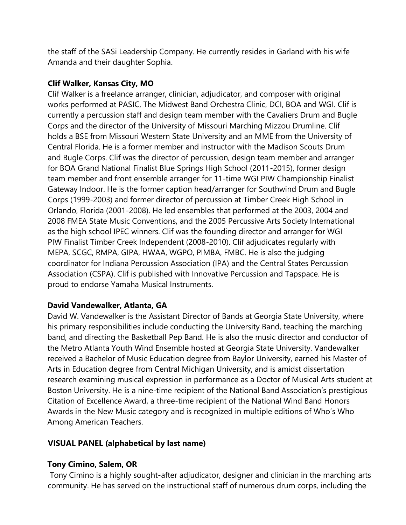the staff of the SASi Leadership Company. He currently resides in Garland with his wife Amanda and their daughter Sophia.

#### **Clif Walker, Kansas City, MO**

Clif Walker is a freelance arranger, clinician, adjudicator, and composer with original works performed at PASIC, The Midwest Band Orchestra Clinic, DCI, BOA and WGI. Clif is currently a percussion staff and design team member with the Cavaliers Drum and Bugle Corps and the director of the University of Missouri Marching Mizzou Drumline. Clif holds a BSE from Missouri Western State University and an MME from the University of Central Florida. He is a former member and instructor with the Madison Scouts Drum and Bugle Corps. Clif was the director of percussion, design team member and arranger for BOA Grand National Finalist Blue Springs High School (2011-2015), former design team member and front ensemble arranger for 11-time WGI PIW Championship Finalist Gateway Indoor. He is the former caption head/arranger for Southwind Drum and Bugle Corps (1999-2003) and former director of percussion at Timber Creek High School in Orlando, Florida (2001-2008). He led ensembles that performed at the 2003, 2004 and 2008 FMEA State Music Conventions, and the 2005 Percussive Arts Society International as the high school IPEC winners. Clif was the founding director and arranger for WGI PIW Finalist Timber Creek Independent (2008-2010). Clif adjudicates regularly with MEPA, SCGC, RMPA, GIPA, HWAA, WGPO, PIMBA, FMBC. He is also the judging coordinator for Indiana Percussion Association (IPA) and the Central States Percussion Association (CSPA). Clif is published with Innovative Percussion and Tapspace. He is proud to endorse Yamaha Musical Instruments.

# **David Vandewalker, Atlanta, GA**

David W. Vandewalker is the Assistant Director of Bands at Georgia State University, where his primary responsibilities include conducting the University Band, teaching the marching band, and directing the Basketball Pep Band. He is also the music director and conductor of the Metro Atlanta Youth Wind Ensemble hosted at Georgia State University. Vandewalker received a Bachelor of Music Education degree from Baylor University, earned his Master of Arts in Education degree from Central Michigan University, and is amidst dissertation research examining musical expression in performance as a Doctor of Musical Arts student at Boston University. He is a nine-time recipient of the National Band Association's prestigious Citation of Excellence Award, a three-time recipient of the National Wind Band Honors Awards in the New Music category and is recognized in multiple editions of Who's Who Among American Teachers.

#### **VISUAL PANEL (alphabetical by last name)**

#### **Tony Cimino, Salem, OR**

Tony Cimino is a highly sought-after adjudicator, designer and clinician in the marching arts community. He has served on the instructional staff of numerous drum corps, including the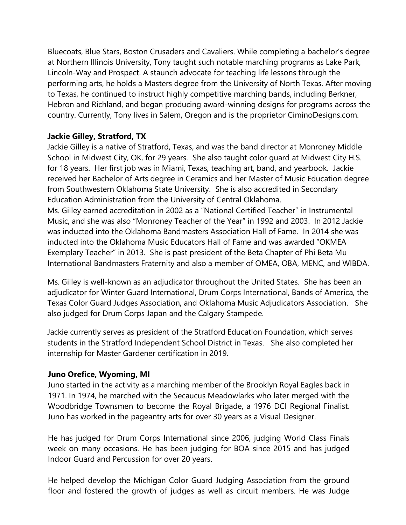Bluecoats, Blue Stars, Boston Crusaders and Cavaliers. While completing a bachelor's degree at Northern Illinois University, Tony taught such notable marching programs as Lake Park, Lincoln-Way and Prospect. A staunch advocate for teaching life lessons through the performing arts, he holds a Masters degree from the University of North Texas. After moving to Texas, he continued to instruct highly competitive marching bands, including Berkner, Hebron and Richland, and began producing award-winning designs for programs across the country. Currently, Tony lives in Salem, Oregon and is the proprietor CiminoDesigns.com.

## **Jackie Gilley, Stratford, TX**

Jackie Gilley is a native of Stratford, Texas, and was the band director at Monroney Middle School in Midwest City, OK, for 29 years. She also taught color guard at Midwest City H.S. for 18 years. Her first job was in Miami, Texas, teaching art, band, and yearbook. Jackie received her Bachelor of Arts degree in Ceramics and her Master of Music Education degree from Southwestern Oklahoma State University. She is also accredited in Secondary Education Administration from the University of Central Oklahoma.

Ms. Gilley earned accreditation in 2002 as a "National Certified Teacher" in Instrumental Music, and she was also "Monroney Teacher of the Year" in 1992 and 2003. In 2012 Jackie was inducted into the Oklahoma Bandmasters Association Hall of Fame. In 2014 she was inducted into the Oklahoma Music Educators Hall of Fame and was awarded "OKMEA Exemplary Teacher" in 2013. She is past president of the Beta Chapter of Phi Beta Mu International Bandmasters Fraternity and also a member of OMEA, OBA, MENC, and WIBDA.

Ms. Gilley is well-known as an adjudicator throughout the United States. She has been an adjudicator for Winter Guard International, Drum Corps International, Bands of America, the Texas Color Guard Judges Association, and Oklahoma Music Adjudicators Association. She also judged for Drum Corps Japan and the Calgary Stampede.

Jackie currently serves as president of the Stratford Education Foundation, which serves students in the Stratford Independent School District in Texas. She also completed her internship for Master Gardener certification in 2019.

#### **Juno Orefice, Wyoming, MI**

Juno started in the activity as a marching member of the Brooklyn Royal Eagles back in 1971. In 1974, he marched with the Secaucus Meadowlarks who later merged with the Woodbridge Townsmen to become the Royal Brigade, a 1976 DCI Regional Finalist. Juno has worked in the pageantry arts for over 30 years as a Visual Designer.

He has judged for Drum Corps International since 2006, judging World Class Finals week on many occasions. He has been judging for BOA since 2015 and has judged Indoor Guard and Percussion for over 20 years.

He helped develop the Michigan Color Guard Judging Association from the ground floor and fostered the growth of judges as well as circuit members. He was Judge